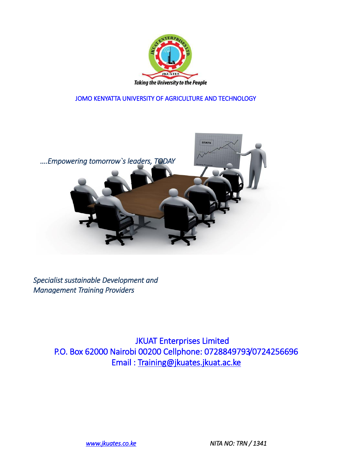

JOMO KENYATTA UNIVERSITY OF AGRICULTURE AND TECHNOLOGY



 *Specialist sustainable Development and Management Training Providers*

> JKUAT Enterprises Limited P.O. Box 62000 Nairobi 00200 Cellphone: 0728849793/0724256696 Email : Training@jkuates.jkuat.ac.ke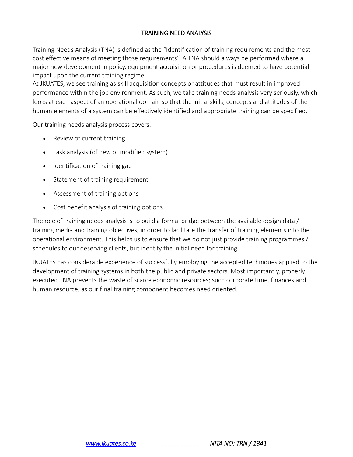## TRAINING NEED ANALYSIS

Training Needs Analysis (TNA) is defined as the "Identification of training requirements and the most cost effective means of meeting those requirements". A TNA should always be performed where a major new development in policy, equipment acquisition or procedures is deemed to have potential impact upon the current training regime.

At JKUATES, we see training as skill acquisition concepts or attitudes that must result in improved performance within the job environment. As such, we take training needs analysis very seriously, which looks at each aspect of an operational domain so that the initial skills, concepts and attitudes of the human elements of a system can be effectively identified and appropriate training can be specified.

Our training needs analysis process covers:

- Review of current training
- Task analysis (of new or modified system)
- Identification of training gap
- Statement of training requirement
- Assessment of training options
- Cost benefit analysis of training options

The role of training needs analysis is to build a formal bridge between the available design data / training media and training objectives, in order to facilitate the transfer of training elements into the operational environment. This helps us to ensure that we do not just provide training programmes / schedules to our deserving clients, but identify the initial need for training.

JKUATES has considerable experience of successfully employing the accepted techniques applied to the development of training systems in both the public and private sectors. Most importantly, properly executed TNA prevents the waste of scarce economic resources; such corporate time, finances and human resource, as our final training component becomes need oriented.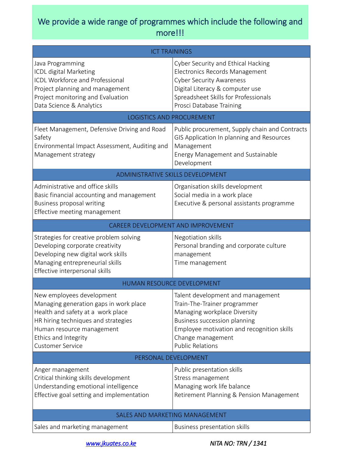## We provide a wide range of programmes which include the following and more!!!

| <b>ICT TRAININGS</b>                                                                                                                                                                                                            |                                                                                                                                                                                                                                        |
|---------------------------------------------------------------------------------------------------------------------------------------------------------------------------------------------------------------------------------|----------------------------------------------------------------------------------------------------------------------------------------------------------------------------------------------------------------------------------------|
| Java Programming<br>ICDL digital Marketing<br><b>ICDL Workforce and Professional</b><br>Project planning and management<br>Project monitoring and Evaluation<br>Data Science & Analytics                                        | Cyber Security and Ethical Hacking<br>Electronics Records Management<br><b>Cyber Security Awareness</b><br>Digital Literacy & computer use<br>Spreadsheet Skills for Professionals<br>Prosci Database Training                         |
| LOGISTICS AND PROCUREMENT                                                                                                                                                                                                       |                                                                                                                                                                                                                                        |
| Fleet Management, Defensive Driving and Road<br>Safety<br>Environmental Impact Assessment, Auditing and<br>Management strategy                                                                                                  | Public procurement, Supply chain and Contracts<br>GIS Application In planning and Resources<br>Management<br>Energy Management and Sustainable<br>Development                                                                          |
| ADMINISTRATIVE SKILLS DEVELOPMENT                                                                                                                                                                                               |                                                                                                                                                                                                                                        |
| Administrative and office skills<br>Basic financial accounting and management<br>Business proposal writing<br>Effective meeting management                                                                                      | Organisation skills development<br>Social media in a work place<br>Executive & personal assistants programme                                                                                                                           |
| CAREER DEVELOPMENT AND IMPROVEMENT                                                                                                                                                                                              |                                                                                                                                                                                                                                        |
| Strategies for creative problem solving<br>Developing corporate creativity<br>Developing new digital work skills<br>Managing entrepreneurial skills<br>Effective interpersonal skills                                           | Negotiation skills<br>Personal branding and corporate culture<br>management<br>Time management                                                                                                                                         |
| HUMAN RESOURCE DEVELOPMENT                                                                                                                                                                                                      |                                                                                                                                                                                                                                        |
| New employees development<br>Managing generation gaps in work place<br>Health and safety at a work place<br>HR hiring techniques and strategies<br>Human resource management<br>Ethics and Integrity<br><b>Customer Service</b> | Talent development and management<br>Train-The-Trainer programmer<br>Managing workplace Diversity<br><b>Business succession planning</b><br>Employee motivation and recognition skills<br>Change management<br><b>Public Relations</b> |
| PERSONAL DEVELOPMENT                                                                                                                                                                                                            |                                                                                                                                                                                                                                        |
| Anger management<br>Critical thinking skills development<br>Understanding emotional intelligence<br>Effective goal setting and implementation                                                                                   | Public presentation skills<br>Stress management<br>Managing work life balance<br>Retirement Planning & Pension Management                                                                                                              |
| SALES AND MARKETING MANAGEMENT                                                                                                                                                                                                  |                                                                                                                                                                                                                                        |
| Sales and marketing management                                                                                                                                                                                                  | Business presentation skills                                                                                                                                                                                                           |